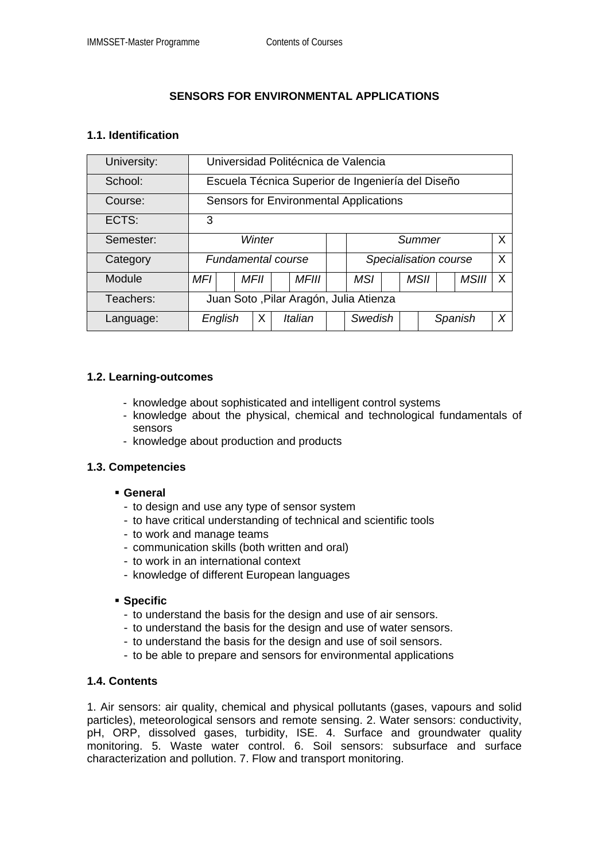# **SENSORS FOR ENVIRONMENTAL APPLICATIONS**

## **1.1. Identification**

| University: | Universidad Politécnica de Valencia               |  |      |  |              |  |                       |  |  |      |         |              |   |  |
|-------------|---------------------------------------------------|--|------|--|--------------|--|-----------------------|--|--|------|---------|--------------|---|--|
| School:     | Escuela Técnica Superior de Ingeniería del Diseño |  |      |  |              |  |                       |  |  |      |         |              |   |  |
| Course:     | <b>Sensors for Environmental Applications</b>     |  |      |  |              |  |                       |  |  |      |         |              |   |  |
| ECTS:       | 3                                                 |  |      |  |              |  |                       |  |  |      |         |              |   |  |
| Semester:   | Winter                                            |  |      |  |              |  | Summer                |  |  |      |         |              | X |  |
| Category    | Fundamental course                                |  |      |  |              |  | Specialisation course |  |  |      |         |              | X |  |
| Module      | MFI                                               |  | MFII |  | <b>MFIII</b> |  | <b>MSI</b>            |  |  | MSII |         | <b>MSIII</b> | X |  |
| Teachers:   | Juan Soto, Pilar Aragón, Julia Atienza            |  |      |  |              |  |                       |  |  |      |         |              |   |  |
| Language:   | English                                           |  | Х    |  | Italian      |  | Swedish               |  |  |      | Spanish |              | X |  |

## **1.2. Learning-outcomes**

- knowledge about sophisticated and intelligent control systems
- knowledge about the physical, chemical and technological fundamentals of sensors
- knowledge about production and products

#### **1.3. Competencies**

- **General** 
	- to design and use any type of sensor system
	- to have critical understanding of technical and scientific tools
	- to work and manage teams
	- communication skills (both written and oral)
	- to work in an international context
	- knowledge of different European languages

#### **Specific**

- to understand the basis for the design and use of air sensors.
- to understand the basis for the design and use of water sensors.
- to understand the basis for the design and use of soil sensors.
- to be able to prepare and sensors for environmental applications

#### **1.4. Contents**

1. Air sensors: air quality, chemical and physical pollutants (gases, vapours and solid particles), meteorological sensors and remote sensing. 2. Water sensors: conductivity, pH, ORP, dissolved gases, turbidity, ISE. 4. Surface and groundwater quality monitoring. 5. Waste water control. 6. Soil sensors: subsurface and surface characterization and pollution. 7. Flow and transport monitoring.